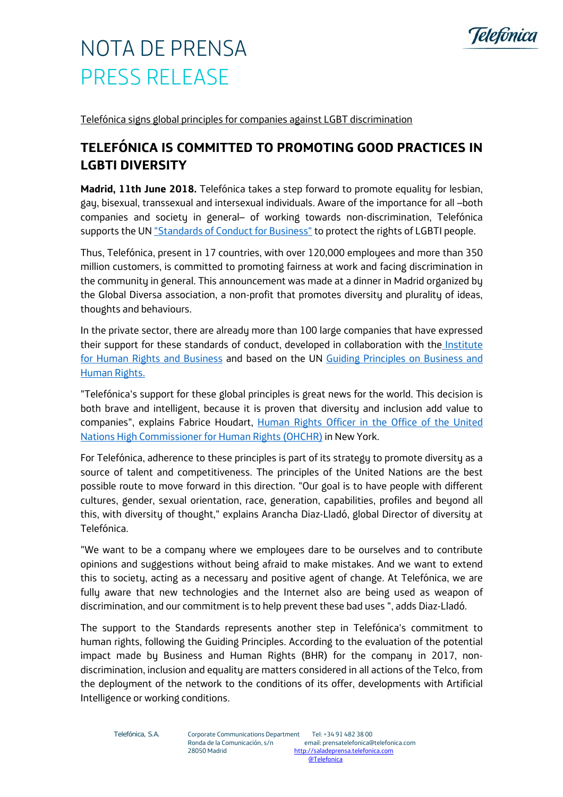

## NOTA DE PRENSA PRESS RELEASE

Telefónica signs global principles for companies against LGBT discrimination

## **TELEFÓNICA IS COMMITTED TO PROMOTING GOOD PRACTICES IN LGBTI DIVERSITY**

**Madrid, 11th June 2018.** Telefónica takes a step forward to promote equality for lesbian, gay, bisexual, transsexual and intersexual individuals. Aware of the importance for all –both companies and society in general– of working towards non-discrimination, Telefónica supports the UN "Standards of Conduct for Business" to protect the rights of LGBTI people.

Thus, Telefónica, present in 17 countries, with over 120,000 employees and more than 350 million customers, is committed to promoting fairness at work and facing discrimination in the community in general. This announcement was made at a dinner in Madrid organized by the Global Diversa association, a non-profit that promotes diversity and plurality of ideas, thoughts and behaviours.

In the private sector, there are already more than 100 large companies that have expressed their support for these standards of conduct, developed in collaboration with the Institute for Human Rights and Business and based on the UN Guiding Principles on Business and Human Rights.

"Telefónica's support for these global principles is great news for the world. This decision is both brave and intelligent, because it is proven that diversity and inclusion add value to companies", explains Fabrice Houdart, Human Rights Officer in the Office of the United Nations High Commissioner for Human Rights (OHCHR) in New York.

For Telefónica, adherence to these principles is part of its strategy to promote diversity as a source of talent and competitiveness. The principles of the United Nations are the best possible route to move forward in this direction. "Our goal is to have people with different cultures, gender, sexual orientation, race, generation, capabilities, profiles and beyond all this, with diversity of thought," explains Arancha Diaz-Lladó, global Director of diversity at Telefónica.

"We want to be a company where we employees dare to be ourselves and to contribute opinions and suggestions without being afraid to make mistakes. And we want to extend this to society, acting as a necessary and positive agent of change. At Telefónica, we are fully aware that new technologies and the Internet also are being used as weapon of discrimination, and our commitment is to help prevent these bad uses ", adds Diaz-Lladó.

The support to the Standards represents another step in Telefónica's commitment to human rights, following the Guiding Principles. According to the evaluation of the potential impact made by Business and Human Rights (BHR) for the company in 2017, nondiscrimination, inclusion and equality are matters considered in all actions of the Telco, from the deployment of the network to the conditions of its offer, developments with Artificial Intelligence or working conditions.